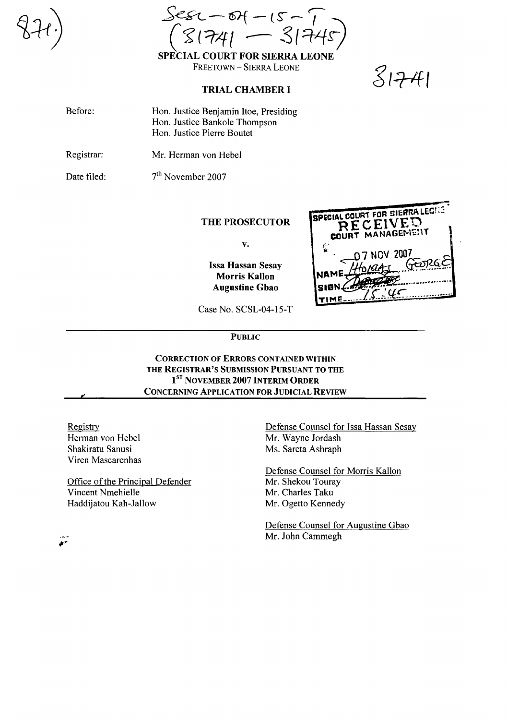$-84 - 15 1741 - 3174$ 

SPECIAL COURT FOR SIERRA LEONE FREETOWN - SIERRA LEONE

## **TRIAL CHAMBER I**

|    | , ,<br>r i |
|----|------------|
| Γ. |            |

| Before: | Hon. Justice Benjamin Itoe, Presiding |
|---------|---------------------------------------|
|         | Hon. Justice Bankole Thompson         |
|         | Hon. Justice Pierre Boutet            |
|         |                                       |

Registrar: Mr. Herman von Hebel

Date filed: 7<sup>th</sup> November 2007

# **THE PROSECUTOR**

 $\mathbf{v}$  .

**Issa Hassan Sesay Morris Kallon Augustine Gbao** 

|       | <b>SPECIAL COURT FOR SIERRA LEWIGE</b><br>RECEIVED<br>COURT MANAGEMENT |  |
|-------|------------------------------------------------------------------------|--|
|       | <b>D7 NOV 2007</b><br><b>ි</b> ලිංගයයි<br>NAME HORGAS                  |  |
| 'slan |                                                                        |  |

Case No. SCSL-04-15-T

**PUBLIC** 

# **CORRECTION OF ERRORS CONTAINED WITHIN** THE REGISTRAR'S SUBMISSION PURSUANT TO THE 1<sup>ST</sup> NOVEMBER 2007 INTERIM ORDER **CONCERNING APPLICATION FOR JUDICIAL REVIEW**

Registry Herman von Hebel Shakiratu Sanusi Viren Mascarenhas

Office of the Principal Defender Vincent Nmehielle Haddijatou Kah-Jallow

Defense Counsel for Issa Hassan Sesay Mr. Wayne Jordash Ms. Sareta Ashraph

Defense Counsel for Morris Kallon Mr. Shekou Touray Mr. Charles Taku Mr. Ogetto Kennedy

Defense Counsel for Augustine Gbao Mr. John Cammegh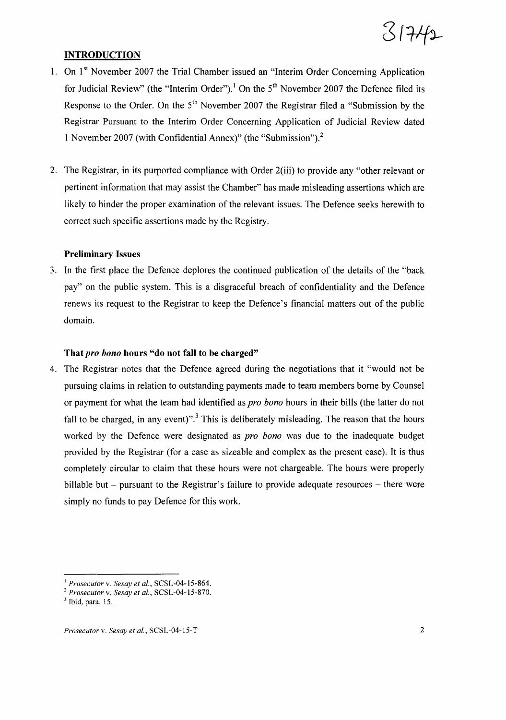

## **INTRODUCTION**

- 1. On 1<sup>st</sup> November 2007 the Trial Chamber issued an "Interim Order Concerning Application for Judicial Review" (the "Interim Order").<sup>1</sup> On the 5<sup>th</sup> November 2007 the Defence filed its Response to the Order. On the  $5<sup>th</sup>$  November 2007 the Registrar filed a "Submission by the Registrar Pursuant to the Interim Order Concerning Application of Judicial Review dated 1 November 2007 (with Confidential Annex)" (the "Submission").<sup>2</sup>
- 2. The Registrar, in its purported compliance with Order 2(iii) to provide any "other relevant or pertinent information that may assist the Chamber" has made misleading assertions which are likely to hinder the proper examination of the relevant issues. The Defence seeks herewith to correct such specific assertions made by the Registry.

#### Preliminary Issues

3. In the first place the Defence deplores the continued publication of the details of the "back pay" on the public system. This is a disgraceful breach of confidentiality and the Defence renews its request to the Registrar to keep the Defence's financial matters out of the public domain.

### That *pro bono* hours "do not fall to be charged"

4. The Registrar notes that the Defence agreed during the negotiations that it "would not be pursuing claims in relation to outstanding payments made to team members borne by Counsel or payment for what the team had identified as *pro bono* hours in their bills (the latter do not fall to be charged, in any event)".<sup>3</sup> This is deliberately misleading. The reason that the hours worked by the Defence were designated as *pro bono* was due to the inadequate budget provided by the Registrar (for a case as sizeable and complex as the present case). It is thus completdy circular to claim that these hours were not chargeable. The hours were properly billable but  $-$  pursuant to the Registrar's failure to provide adequate resources  $-$  there were simply no funds to pay Defence for this work.

<sup>I</sup> *Prosecutor* v. *Sesay et al.,* SCSL-04-15-864.

<sup>2</sup> *Prosecutor* v. *Sesay et al.,* SCSL-04-15-870.

 $<sup>3</sup>$  Ibid, para. 15.</sup>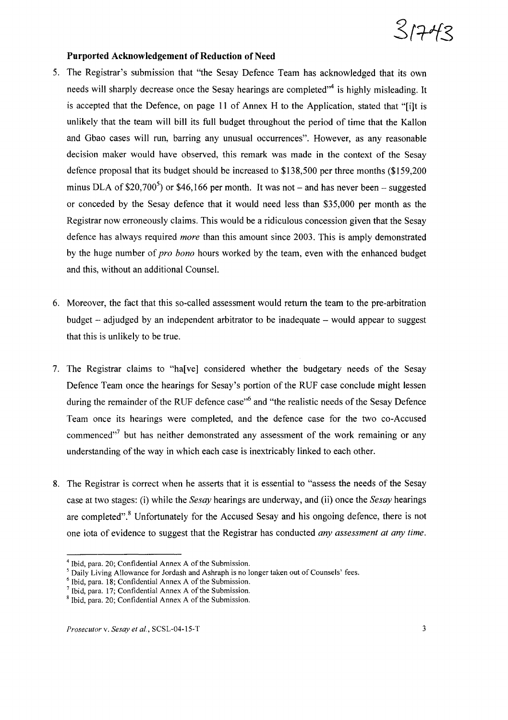

### **Purported Acknowledgement** of Reduction of Need

- 5. The Registrar's submission that ''the Sesay Defence Team has acknowledged that its own needs will sharply decrease once the Sesay hearings are completed<sup>\*\*</sup> is highly misleading. It is accepted that the Defence, on page 11 of Annex H to the Application, stated that "[i]t is unlikely that the team will bill its full budget throughout the period of time that the Kallon and Gbao cases will run, barring any unusual occurrences". However, as any reasonable decision maker would have observed, this remark was made in the context of the Sesay defence proposal that its budget should be increased to \$138,500 per three months (\$159,200 minus DLA of \$20,700<sup>5</sup>) or \$46,166 per month. It was not – and has never been – suggested or conceded by the Sesay defence that it would need less than \$35,000 per month as the Registrar now erroneously claims. This would be a ridiculous concession given that the Sesay defence has always required *more* than this amount since 2003. This is amply demonstrated by the huge number of *pro bono* hours worked by the team, even with the enhanced budget and this, without an additional Counsel.
- 6. Moreover, the fact that this so-called assessment would return the team to the pre-arbitration budget  $-$  adjudged by an independent arbitrator to be inadequate  $-$  would appear to suggest that this is unlikely to be true.
- 7. The Registrar claims to "ha[ve] considered whether the budgetary needs of the Sesay Defence Team once the hearings for Sesay's portion of the RUF case conclude might lessen during the remainder of the RUF defence case<sup>"6</sup> and "the realistic needs of the Sesay Defence Team once its hearings were completed, and the defence case for the two co-Accused commenced"<sup>7</sup> but has neither demonstrated any assessment of the work remaining or any understanding of the way in which each case is inextricably linked to each other.
- 8. The Registrar is correct when he asserts that it is essential to "assess the needs of the Sesay case at two stages: (i) while the *Sesay* hearings are underway, and (ii) once the *Sesay* hearings are completed".<sup>8</sup> Unfortunately for the Accused Sesay and his ongoing defence, there is not one iota of evidence to suggest that the Registrar has conducted *any assessment at any time.*

 $4$  Ibid, para. 20; Confidential Annex A of the Submission.

<sup>&</sup>lt;sup>5</sup> Daily Living Allowance for Jordash and Ashraph is no longer taken out of Counsels' fees.

 $6$  Ibid, para. 18; Confidential Annex A of the Submission.

 $<sup>7</sup>$  Ibid, para. 17; Confidential Annex A of the Submission.</sup>

 $8$  Ibid, para. 20; Confidential Annex A of the Submission.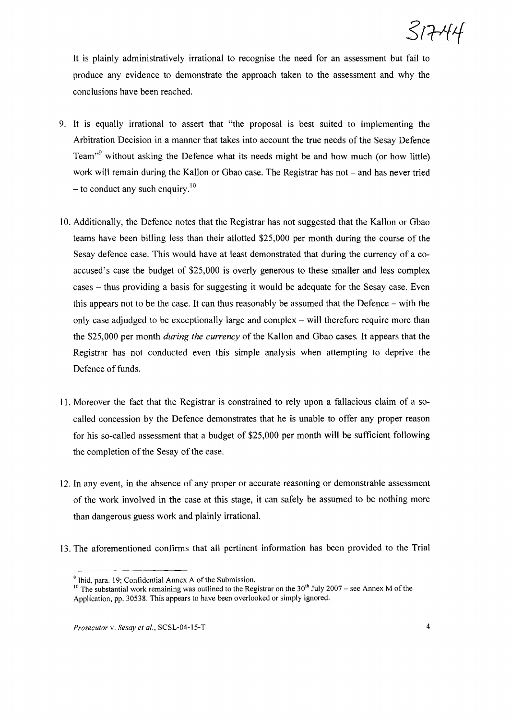It is plainly administratively irrational to recognise the need for an assessment but fail to produce any evidence to demonstrate the approach taken to the assessment and why the conclusions have been reached.

- 9. It is equally irrational to assert that "the proposal is best suited to implementing the Arbitration Decision in a manner that takes into account the true needs of the Sesay Defence Team<sup>39</sup> without asking the Defence what its needs might be and how much (or how little) work will remain during the Kallon or Gbao case. The Registrar has not - and has never tried  $-$  to conduct any such enquiry.<sup>10</sup>
- 10. Additionally, the Defence notes that the Registrar has not suggested that the Kallon or Gbao teams have been billing less than their allotted \$25,000 per month during the course of the Sesay defence case. This would have at least demonstrated that during the currency of a coaccused's case the budget of \$25,000 is overly generous to these smaller and less complex cases - thus providing a basis for suggesting it would be adequate for the Sesay case. Even this appears not to be the case. It can thus reasonably be assumed that the Defence - with the only case adjudged to be exceptionally large and complex - will therefore require more than the \$25,000 per month *during the currency* ofthe Kallon and Gbao cases. It appears that the Registrar has not conducted even this simple analysis when attempting to deprive the Defence of funds.
- 11. Moreover the fact that the Registrar is constrained to rely upon a fallacious claim of a socalled concession by the Defence demonstrates that he is unable to offer any proper reason for his so-called assessment that a budget of \$25,000 per month will be sufficient following the completion of the Sesay of the case.
- 12. In any event, in the absence of any proper or accurate reasoning or demonstrable assessment of the work involved in the case at this stage, it can safely be assumed to be nothing more than dangerous guess work and plainly irrational.
- 13. The aforementioned confirms that all pertinent information has been provided to the Trial

Ibid, para. 19; Confidential Annex A of the Submission.

<sup>&</sup>lt;sup>10</sup> The substantial work remaining was outlined to the Registrar on the  $30<sup>th</sup>$  July 2007 – see Annex M of the Application, pp. 30538. This appears to have been overlooked or simply ignored.